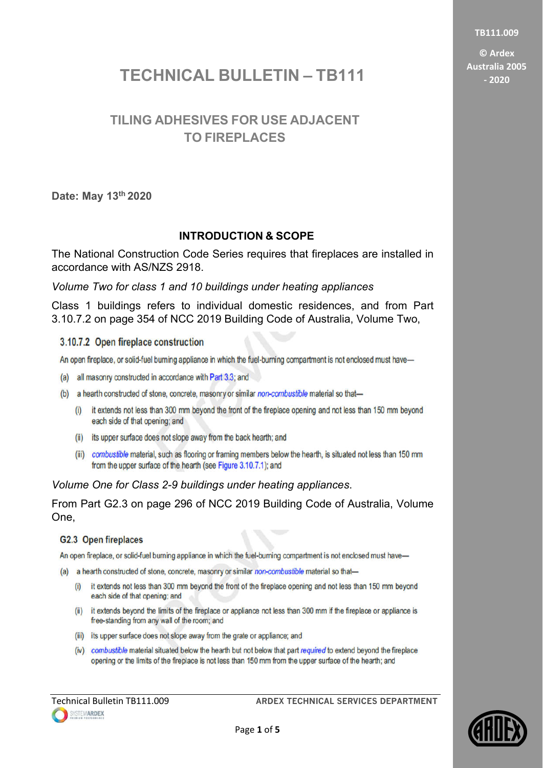**TB111.009**

**© Ardex Australia 2005 - 2020**

# **TECHNICAL BULLETIN – TB111**

## **TILING ADHESIVES FOR USE ADJACENT TO FIREPLACES**

**Date: May 13th 2020**

### **INTRODUCTION & SCOPE**

The National Construction Code Series requires that fireplaces are installed in accordance with AS/NZS 2918.

*Volume Two for class 1 and 10 buildings under heating appliances*

Class 1 buildings refers to individual domestic residences, and from Part 3.10.7.2 on page 354 of NCC 2019 Building Code of Australia, Volume Two,

#### 3.10.7.2 Open fireplace construction

An open fireplace, or solid-fuel burning appliance in which the fuel-burning compartment is not enclosed must have-

- (a) all masonry constructed in accordance with Part 3.3; and
- (b) a hearth constructed of stone, concrete, masonry or similar non-combustible material so that-
	- (i) it extends not less than 300 mm beyond the front of the fireplace opening and not less than 150 mm beyond each side of that opening; and
	- (ii) its upper surface does not slope away from the back hearth; and
	- (iii) combustible material, such as flooring or framing members below the hearth, is situated not less than 150 mm from the upper surface of the hearth (see Figure 3.10.7.1); and

*Volume One for Class 2-9 buildings under heating appliances*.

From Part G2.3 on page 296 of NCC 2019 Building Code of Australia, Volume One,

#### G2.3 Open fireplaces

An open fireplace, or solid-fuel burning appliance in which the fuel-burning compartment is not enclosed must have-

- (a) a hearth constructed of stone, concrete, masonry or similar non-combustible material so that-
	- (i) it extends not less than 300 mm beyond the front of the fireplace opening and not less than 150 mm beyond each side of that opening; and
	- (ii) it extends beyond the limits of the fireplace or appliance not less than 300 mm if the fireplace or appliance is free-standing from any wall of the room; and
	- (iii) its upper surface does not slope away from the grate or appliance; and
	- (iv) combustible material situated below the hearth but not below that part required to extend beyond the fireplace opening or the limits of the fireplace is not less than 150 mm from the upper surface of the hearth; and

Technical Bulletin TB111.009 **ARDEX TECHNICAL SERVICES DEPARTMENT** 

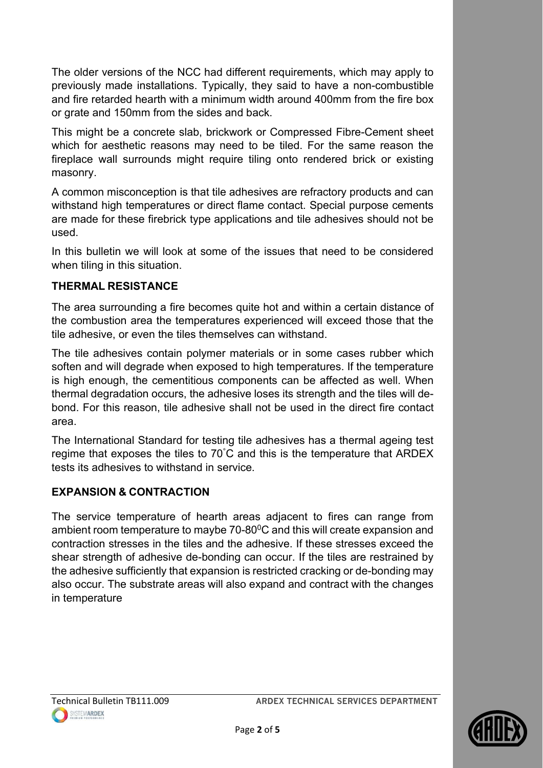The older versions of the NCC had different requirements, which may apply to previously made installations. Typically, they said to have a non-combustible and fire retarded hearth with a minimum width around 400mm from the fire box or grate and 150mm from the sides and back.

This might be a concrete slab, brickwork or Compressed Fibre-Cement sheet which for aesthetic reasons may need to be tiled. For the same reason the fireplace wall surrounds might require tiling onto rendered brick or existing masonry.

A common misconception is that tile adhesives are refractory products and can withstand high temperatures or direct flame contact. Special purpose cements are made for these firebrick type applications and tile adhesives should not be used.

In this bulletin we will look at some of the issues that need to be considered when tiling in this situation.

### **THERMAL RESISTANCE**

The area surrounding a fire becomes quite hot and within a certain distance of the combustion area the temperatures experienced will exceed those that the tile adhesive, or even the tiles themselves can withstand.

The tile adhesives contain polymer materials or in some cases rubber which soften and will degrade when exposed to high temperatures. If the temperature is high enough, the cementitious components can be affected as well. When thermal degradation occurs, the adhesive loses its strength and the tiles will debond. For this reason, tile adhesive shall not be used in the direct fire contact area.

The International Standard for testing tile adhesives has a thermal ageing test regime that exposes the tiles to 70° C and this is the temperature that ARDEX tests its adhesives to withstand in service.

### **EXPANSION & CONTRACTION**

The service temperature of hearth areas adjacent to fires can range from ambient room temperature to maybe 70-80<sup>0</sup>C and this will create expansion and contraction stresses in the tiles and the adhesive. If these stresses exceed the shear strength of adhesive de-bonding can occur. If the tiles are restrained by the adhesive sufficiently that expansion is restricted cracking or de-bonding may also occur. The substrate areas will also expand and contract with the changes in temperature

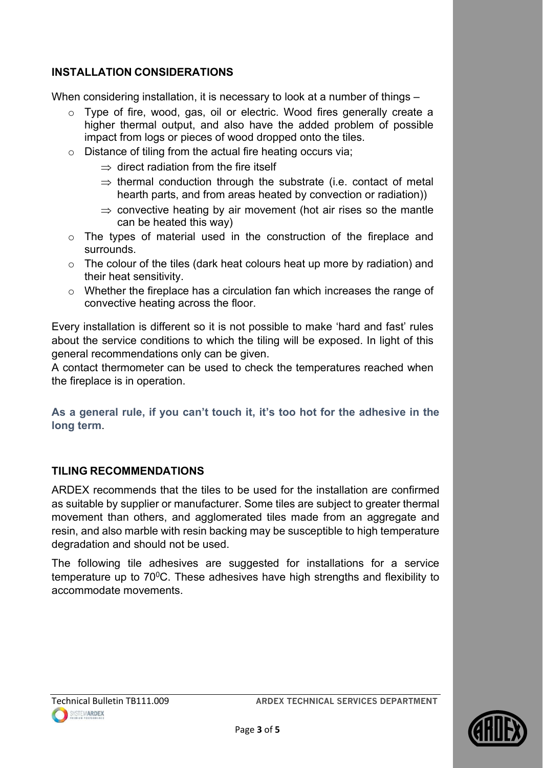### **INSTALLATION CONSIDERATIONS**

When considering installation, it is necessary to look at a number of things –

- o Type of fire, wood, gas, oil or electric. Wood fires generally create a higher thermal output, and also have the added problem of possible impact from logs or pieces of wood dropped onto the tiles.
- o Distance of tiling from the actual fire heating occurs via;
	- $\Rightarrow$  direct radiation from the fire itself
	- $\Rightarrow$  thermal conduction through the substrate (i.e. contact of metal hearth parts, and from areas heated by convection or radiation))
	- $\Rightarrow$  convective heating by air movement (hot air rises so the mantle can be heated this way)
- o The types of material used in the construction of the fireplace and surrounds.
- o The colour of the tiles (dark heat colours heat up more by radiation) and their heat sensitivity.
- o Whether the fireplace has a circulation fan which increases the range of convective heating across the floor.

Every installation is different so it is not possible to make 'hard and fast' rules about the service conditions to which the tiling will be exposed. In light of this general recommendations only can be given.

A contact thermometer can be used to check the temperatures reached when the fireplace is in operation.

**As a general rule, if you can't touch it, it's too hot for the adhesive in the long term**.

#### **TILING RECOMMENDATIONS**

ARDEX recommends that the tiles to be used for the installation are confirmed as suitable by supplier or manufacturer. Some tiles are subject to greater thermal movement than others, and agglomerated tiles made from an aggregate and resin, and also marble with resin backing may be susceptible to high temperature degradation and should not be used.

The following tile adhesives are suggested for installations for a service temperature up to  $70^{\circ}$ C. These adhesives have high strengths and flexibility to accommodate movements.

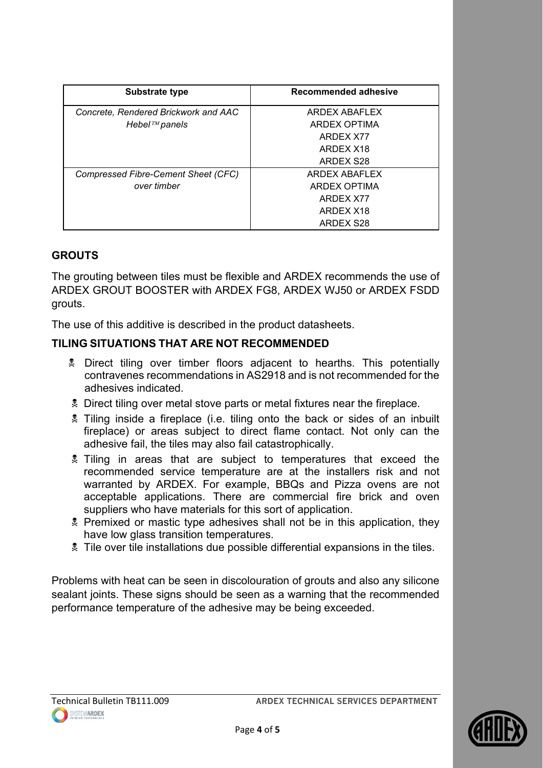| <b>Substrate type</b>                | Recommended adhesive |
|--------------------------------------|----------------------|
| Concrete, Rendered Brickwork and AAC | ARDEX ABAFLEX        |
| Hebel $^{TM}$ panels                 | ARDEX OPTIMA         |
|                                      | ARDEX X77            |
|                                      | ARDEX X18            |
|                                      | ARDEX S28            |
| Compressed Fibre-Cement Sheet (CFC)  | ARDEX ABAFLEX        |
| over timber                          | ARDEX OPTIMA         |
|                                      | ARDEX X77            |
|                                      | ARDEX X18            |
|                                      | ARDEX S28            |

#### **GROUTS**

The grouting between tiles must be flexible and ARDEX recommends the use of ARDEX GROUT BOOSTER with ARDEX FG8, ARDEX WJ50 or ARDEX FSDD grouts.

The use of this additive is described in the product datasheets.

### **TILING SITUATIONS THAT ARE NOT RECOMMENDED**

- Direct tiling over timber floors adjacent to hearths. This potentially contravenes recommendations in AS2918 and is not recommended for the adhesives indicated.
- **2** Direct tiling over metal stove parts or metal fixtures near the fireplace.
- Tiling inside a fireplace (i.e. tiling onto the back or sides of an inbuilt fireplace) or areas subject to direct flame contact. Not only can the adhesive fail, the tiles may also fail catastrophically.
- **2** Tiling in areas that are subject to temperatures that exceed the recommended service temperature are at the installers risk and not warranted by ARDEX. For example, BBQs and Pizza ovens are not acceptable applications. There are commercial fire brick and oven suppliers who have materials for this sort of application.
- **Premixed or mastic type adhesives shall not be in this application, they** have low glass transition temperatures.
- Tile over tile installations due possible differential expansions in the tiles.

Problems with heat can be seen in discolouration of grouts and also any silicone sealant joints. These signs should be seen as a warning that the recommended performance temperature of the adhesive may be being exceeded.